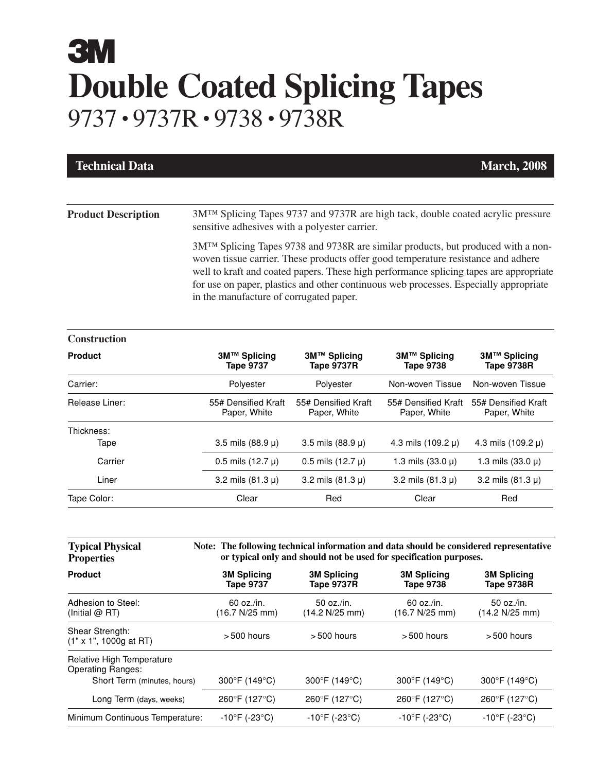## **3M Double Coated Splicing Tapes** 9737 • 9737R• 9738 • 9738R

| <b>Technical Data</b>      |                                                                                                                                                                                                                                                                                                                                                                                                                                                                                                                                                                 |                                     |                                     | <b>March, 2008</b>                  |  |
|----------------------------|-----------------------------------------------------------------------------------------------------------------------------------------------------------------------------------------------------------------------------------------------------------------------------------------------------------------------------------------------------------------------------------------------------------------------------------------------------------------------------------------------------------------------------------------------------------------|-------------------------------------|-------------------------------------|-------------------------------------|--|
| <b>Product Description</b> | 3M <sup>™</sup> Splicing Tapes 9737 and 9737R are high tack, double coated acrylic pressure<br>sensitive adhesives with a polyester carrier.<br>3M <sup>™</sup> Splicing Tapes 9738 and 9738R are similar products, but produced with a non-<br>woven tissue carrier. These products offer good temperature resistance and adhere<br>well to kraft and coated papers. These high performance splicing tapes are appropriate<br>for use on paper, plastics and other continuous web processes. Especially appropriate<br>in the manufacture of corrugated paper. |                                     |                                     |                                     |  |
|                            |                                                                                                                                                                                                                                                                                                                                                                                                                                                                                                                                                                 |                                     |                                     |                                     |  |
| <b>Product</b>             | 3M™ Splicing<br><b>Tape 9737</b>                                                                                                                                                                                                                                                                                                                                                                                                                                                                                                                                | 3M™ Splicing<br>Tape 9737R          | 3M™ Splicing<br>Tape 9738           | 3M™ Splicing<br>Tape 9738R          |  |
| Carrier:                   | Polyester                                                                                                                                                                                                                                                                                                                                                                                                                                                                                                                                                       | Polyester                           | Non-woven Tissue                    | Non-woven Tissue                    |  |
| Release Liner:             | 55# Densified Kraft<br>Paper, White                                                                                                                                                                                                                                                                                                                                                                                                                                                                                                                             | 55# Densified Kraft<br>Paper, White | 55# Densified Kraft<br>Paper, White | 55# Densified Kraft<br>Paper, White |  |
| Thickness:                 |                                                                                                                                                                                                                                                                                                                                                                                                                                                                                                                                                                 |                                     |                                     |                                     |  |

| Thickness:  |                         |                         |                         |                         |
|-------------|-------------------------|-------------------------|-------------------------|-------------------------|
| Tape        | 3.5 mils $(88.9 \,\mu)$ | 3.5 mils $(88.9 \mu)$   | 4.3 mils $(109.2 \mu)$  | 4.3 mils $(109.2 \mu)$  |
| Carrier     | $0.5$ mils $(12.7 \mu)$ | $0.5$ mils $(12.7 \mu)$ | 1.3 mils $(33.0 \,\mu)$ | 1.3 mils $(33.0 \,\mu)$ |
| Liner       | 3.2 mils $(81.3 \,\mu)$ | 3.2 mils $(81.3 \mu)$   | 3.2 mils $(81.3 \mu)$   | 3.2 mils $(81.3 \mu)$   |
| Tape Color: | Clear                   | Red                     | Clear                   | Red                     |

| <b>Typical Physical</b><br><b>Properties</b>          | Note: The following technical information and data should be considered representative<br>or typical only and should not be used for specification purposes. |                                         |                                        |                                         |
|-------------------------------------------------------|--------------------------------------------------------------------------------------------------------------------------------------------------------------|-----------------------------------------|----------------------------------------|-----------------------------------------|
| <b>Product</b>                                        | <b>3M Splicing</b><br><b>Tape 9737</b>                                                                                                                       | <b>3M Splicing</b><br><b>Tape 9737R</b> | <b>3M Splicing</b><br><b>Tape 9738</b> | <b>3M Splicing</b><br><b>Tape 9738R</b> |
| Adhesion to Steel:<br>(Initial $@$ RT)                | 60 oz./in.<br>(16.7 N/25 mm)                                                                                                                                 | 50 oz./in.<br>(14.2 N/25 mm)            | 60 oz./in.<br>(16.7 N/25 mm)           | 50 oz./in.<br>(14.2 N/25 mm)            |
| Shear Strength:<br>$(1" \times 1", 1000q at RT)$      | $>500$ hours                                                                                                                                                 | $>500$ hours                            | $>500$ hours                           | $>500$ hours                            |
| Relative High Temperature<br><b>Operating Ranges:</b> |                                                                                                                                                              |                                         |                                        |                                         |
| Short Term (minutes, hours)                           | $300^{\circ}$ F (149 $^{\circ}$ C)                                                                                                                           | 300°F (149°C)                           | $300^{\circ}$ F (149 $^{\circ}$ C)     | $300^{\circ}$ F (149 $^{\circ}$ C)      |
| Long Term (days, weeks)                               | 260°F (127°C)                                                                                                                                                | 260°F (127°C)                           | 260°F (127°C)                          | 260°F (127°C)                           |
| Minimum Continuous Temperature:                       | $-10^{\circ}$ F (-23 $^{\circ}$ C)                                                                                                                           | $-10^{\circ}$ F (-23 $^{\circ}$ C)      | $-10^{\circ}$ F (-23 $^{\circ}$ C)     | $-10^{\circ}$ F (-23 $^{\circ}$ C)      |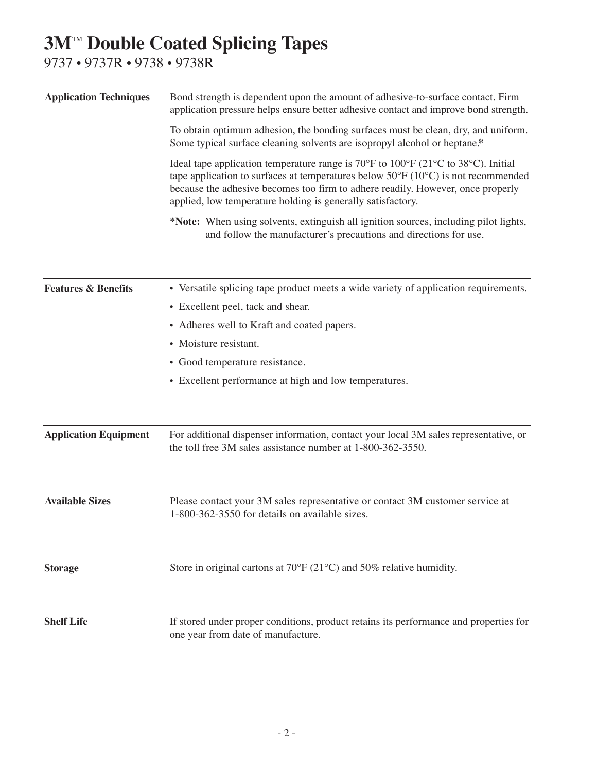## **3M™ Double Coated Splicing Tapes**

9737 • 9737R • 9738 • 9738R

| <b>Application Techniques</b>  | Bond strength is dependent upon the amount of adhesive-to-surface contact. Firm<br>application pressure helps ensure better adhesive contact and improve bond strength.                                                                                                                                                                                                         |  |  |  |
|--------------------------------|---------------------------------------------------------------------------------------------------------------------------------------------------------------------------------------------------------------------------------------------------------------------------------------------------------------------------------------------------------------------------------|--|--|--|
|                                | To obtain optimum adhesion, the bonding surfaces must be clean, dry, and uniform.<br>Some typical surface cleaning solvents are isopropyl alcohol or heptane.*                                                                                                                                                                                                                  |  |  |  |
|                                | Ideal tape application temperature range is 70 $\degree$ F to 100 $\degree$ F (21 $\degree$ C to 38 $\degree$ C). Initial<br>tape application to surfaces at temperatures below $50^{\circ}F(10^{\circ}C)$ is not recommended<br>because the adhesive becomes too firm to adhere readily. However, once properly<br>applied, low temperature holding is generally satisfactory. |  |  |  |
|                                | *Note: When using solvents, extinguish all ignition sources, including pilot lights,<br>and follow the manufacturer's precautions and directions for use.                                                                                                                                                                                                                       |  |  |  |
| <b>Features &amp; Benefits</b> | • Versatile splicing tape product meets a wide variety of application requirements.                                                                                                                                                                                                                                                                                             |  |  |  |
|                                | • Excellent peel, tack and shear.<br>• Adheres well to Kraft and coated papers.                                                                                                                                                                                                                                                                                                 |  |  |  |
|                                |                                                                                                                                                                                                                                                                                                                                                                                 |  |  |  |
|                                | • Good temperature resistance.                                                                                                                                                                                                                                                                                                                                                  |  |  |  |
|                                | • Excellent performance at high and low temperatures.                                                                                                                                                                                                                                                                                                                           |  |  |  |
| <b>Application Equipment</b>   | For additional dispenser information, contact your local 3M sales representative, or<br>the toll free 3M sales assistance number at 1-800-362-3550.                                                                                                                                                                                                                             |  |  |  |
| <b>Available Sizes</b>         | Please contact your 3M sales representative or contact 3M customer service at<br>1-800-362-3550 for details on available sizes.                                                                                                                                                                                                                                                 |  |  |  |
| <b>Storage</b>                 | Store in original cartons at $70^{\circ}F(21^{\circ}C)$ and $50\%$ relative humidity.                                                                                                                                                                                                                                                                                           |  |  |  |
| <b>Shelf Life</b>              | If stored under proper conditions, product retains its performance and properties for<br>one year from date of manufacture.                                                                                                                                                                                                                                                     |  |  |  |